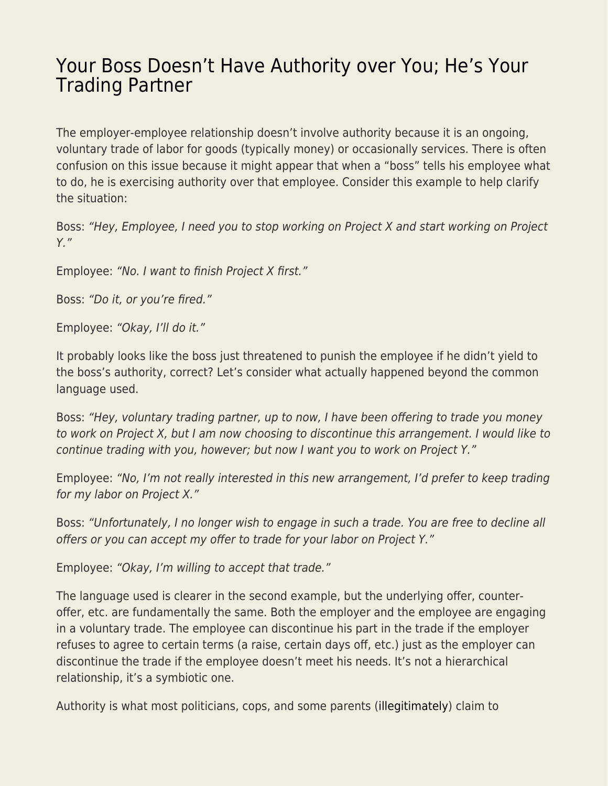## [Your Boss Doesn't Have Authority over You; He's Your](https://everything-voluntary.com/boss-authority-trading-partner) [Trading Partner](https://everything-voluntary.com/boss-authority-trading-partner)

The employer-employee relationship doesn't involve authority because it is an ongoing, voluntary trade of labor for goods (typically money) or occasionally services. There is often confusion on this issue because it might appear that when a "boss" tells his employee what to do, he is exercising authority over that employee. Consider this example to help clarify the situation:

Boss: "Hey, Employee, I need you to stop working on Project X and start working on Project Y."

Employee: "No. I want to finish Project X first."

Boss: "Do it, or you're fired."

Employee: "Okay, I'll do it."

It probably looks like the boss just threatened to punish the employee if he didn't yield to the boss's authority, correct? Let's consider what actually happened beyond the common language used.

Boss: "Hey, voluntary trading partner, up to now, I have been offering to trade you money to work on Project X, but I am now choosing to discontinue this arrangement. I would like to continue trading with you, however; but now I want you to work on Project Y."

Employee: "No, I'm not really interested in this new arrangement, I'd prefer to keep trading for my labor on Project X."

Boss: "Unfortunately, I no longer wish to engage in such a trade. You are free to decline all offers or you can accept my offer to trade for your labor on Project Y."

Employee: "Okay, I'm willing to accept that trade."

The language used is clearer in the second example, but the underlying offer, counteroffer, etc. are fundamentally the same. Both the employer and the employee are engaging in a voluntary trade. The employee can discontinue his part in the trade if the employer refuses to agree to certain terms (a raise, certain days off, etc.) just as the employer can discontinue the trade if the employee doesn't meet his needs. It's not a hierarchical relationship, it's a symbiotic one.

Authority is what most politicians, cops, and some parents [\(illegitimately\)](http://parrishmiller.com/blog/authority-always-illegitimate/) claim to